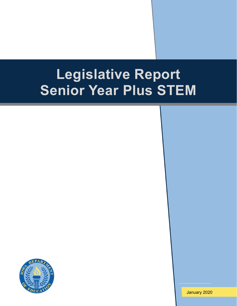# **Legislative Report Senior Year Plus STEM**



January 2020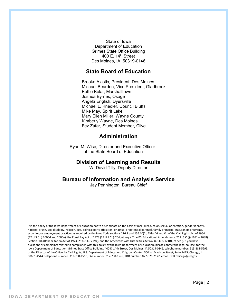State of Iowa Department of Education Grimes State Office Building 400 E. 14th Street Des Moines, IA 50319-0146

### **State Board of Education**

Brooke Axiotis, President, Des Moines Michael Bearden, Vice President, Gladbrook Bettie Bolar, Marshalltown Joshua Byrnes, Osage Angela English, Dyersville Michael L. Knedler, Council Bluffs Mike May, Spirit Lake Mary Ellen Miller, Wayne County Kimberly Wayne, Des Moines Fez Zafar, Student Member, Clive

# **Administration**

Ryan M. Wise, Director and Executive Officer of the State Board of Education

#### **Division of Learning and Results**

W. David Tilly, Deputy Director

#### **Bureau of Information and Analysis Service**

Jay Pennington, Bureau Chief

It is the policy of the Iowa Department of Education not to discriminate on the basis of race, creed, color, sexual orientation, gender identity, national origin, sex, disability, religion, age, political party affiliation, or actual or potential parental, family or marital status in its programs, activities, or employment practices as required by the Iowa Code sections 216.9 and 256.10(2), Titles VI and VII of the Civil Rights Act of 1964 (42 U.S.C. § 2000d and 2000e), the Equal Pay Act of 1973 (29 U.S.C. § 206, et seq.), Title IX (Educational Amendments, 20 U.S.C.§§ 1681 – 1688), Section 504 (Rehabilitation Act of 1973, 29 U.S.C. § 794), and the Americans with Disabilities Act (42 U.S.C. § 12101, et seq.). If you have questions or complaints related to compliance with this policy by the Iowa Department of Education, please contact the legal counsel for the Iowa Department of Education, Grimes State Office Building, 400 E. 14th Street, Des Moines, IA 50319-0146, telephone number: 515-281-5295, or the Director of the Office for Civil Rights, U.S. Department of Education, Citigroup Center, 500 W. Madison Street, Suite 1475, Chicago, IL 60661-4544, telephone number: 312-730-1560, FAX number: 312-730-1576, TDD number: 877-521-2172, email: OCR.Chicago@ed.gov.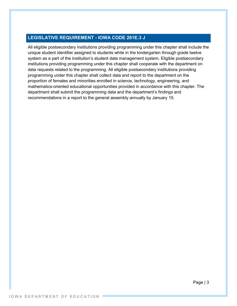# **LEGISLATIVE REQUIREMENT - IOWA CODE 261E.3 J**

All eligible postsecondary institutions providing programming under this chapter shall include the unique student identifier assigned to students while in the kindergarten through grade twelve system as a part of the institution's student data management system. Eligible postsecondary institutions providing programming under this chapter shall cooperate with the department on data requests related to the programming. All eligible postsecondary institutions providing programming under this chapter shall collect data and report to the department on the proportion of females and minorities enrolled in science, technology, engineering, and mathematics-oriented educational opportunities provided in accordance with this chapter. The department shall submit the programming data and the department's findings and recommendations in a report to the general assembly annually by January 15.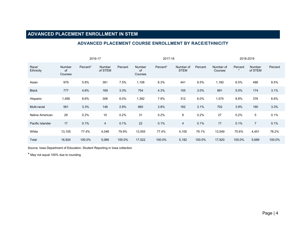# **ADVANCED PLACEMENT ENROLLMENT IN STEM**

#### 2016-17 2017-18 2018-2019 Race/ **Ethnicity** Number of Courses Percent\* Number of STEM Percent Number of Courses Percent<sup>\*</sup> Number of STEM Percent Number of Courses Percent \* Number of STEM Percent Asian 979 5.8% 381 7.5% 1,108 6.3% 441 8.5% 1,160 6.5% 486 8.5% Black 777 4.6% 169 3.3% 754 4.3% 155 3.0% 891 5.0% 174 3.1% Hispanic 1,456 8.6% 306 6.0% 1,392 7.9% 312 6.0% 1,574 8.8% 376 6.6% Multi-racial 561 3.3% 148 2.9% 660 3.8% 162 3.1% 702 3.9% 190 3.3% Native American 29 0.2% 10 0.2% 31 0.2% 8 0.2% 27 0.2% 5 0.1% Pacific Islander 17 0.1% 4 0.1% 22 0.1% 4 0.1% 17 0.1% 7 0.1% White 13,105 77.4% 4,048 79.9% 13,555 77.4% 4,100 79.1% 13,549 75.6% 4,451 78.2% Total 16,924 100.0% 5,066 100.0% 17,522 100.0% 5,182 100.0% 17,920 100.0% 5,689 100.0%

#### **ADVANCED PLACEMENT COURSE ENROLLMENT BY RACE/ETHNICITY**

Source: Iowa Department of Education, Student Reporting in Iowa collection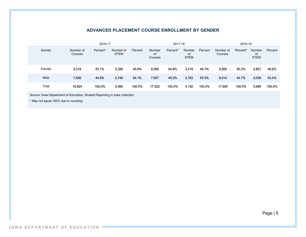#### **ADVANCED PLACEMENT COURSE ENROLLMENT BY GENDER**

|        |                      | 2016-17  |                          |         |                         | 2017-18  |                             | 2018-19 |                      |          |                                    |         |
|--------|----------------------|----------|--------------------------|---------|-------------------------|----------|-----------------------------|---------|----------------------|----------|------------------------------------|---------|
| Gender | Number of<br>Courses | Percent* | Number of<br><b>STEM</b> | Percent | Number<br>of<br>Courses | Percent* | Number<br>of<br><b>STEM</b> | Percent | Number of<br>Courses | Percent* | <b>Number</b><br>of<br><b>STEM</b> | Percent |
| Female | 9,318                | 55.1%    | 2,326                    | 45.9%   | 9,595                   | 54.8%    | 2,419                       | 46.7%   | 9,906                | 55.3%    | 2,651                              | 46.6%   |
| Male   | 7,606                | 44.9%    | 2,740                    | 54.1%   | 7,927                   | 45.2%    | 2,763                       | 53.3%   | 8,014                | 44.7%    | 3,038                              | 53.4%   |
| Total  | 16,924               | 100.0%   | 5,066                    | 100.0%  | 17,522                  | 100.0%   | 5.182                       | 100.0%  | 17,920               | 100.0%   | 5,689                              | 100.0%  |

Source: Iowa Department of Education, Student Reporting in Iowa collection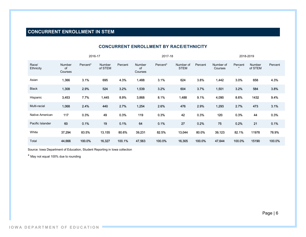# **CONCURRENT ENROLLMENT IN STEM**

|                    |                         | 2016-17  |                   |         |                         | 2017-18  |                          |         |                      | 2018-2019 |                   |         |
|--------------------|-------------------------|----------|-------------------|---------|-------------------------|----------|--------------------------|---------|----------------------|-----------|-------------------|---------|
| Race/<br>Ethnicity | Number<br>0f<br>Courses | Percent* | Number<br>of STEM | Percent | Number<br>0f<br>Courses | Percent* | Number of<br><b>STEM</b> | Percent | Number of<br>Courses | Percent   | Number<br>of STEM | Percent |
| Asian              | 1,366                   | 3.1%     | 695               | 4.3%    | 1,488                   | 3.1%     | 624                      | 3.8%    | 1,442                | 3.0%      | 658               | 4.3%    |
| <b>Black</b>       | 1,308                   | 2.9%     | 524               | 3.2%    | 1,539                   | 3.2%     | 604                      | 3.7%    | 1,501                | 3.2%      | 584               | 3.8%    |
| Hispanic           | 3,453                   | 7.7%     | 1,445             | 8.9%    | 3,868                   | 8.1%     | 1,488                    | 9.1%    | 4,090                | 8.6%      | 1432              | 9.4%    |
| Multi-racial       | 1,068                   | 2.4%     | 440               | 2.7%    | 1,254                   | 2.6%     | 476                      | 2.9%    | 1,293                | 2.7%      | 473               | 3.1%    |
| Native American    | 117                     | 0.3%     | 49                | 0.3%    | 119                     | 0.3%     | 42                       | 0.3%    | 120                  | 0.3%      | 44                | 0.3%    |
| Pacific Islander   | 60                      | 0.1%     | 19                | 0.1%    | 64                      | 0.1%     | 27                       | 0.2%    | 75                   | 0.2%      | 21                | 0.1%    |
| White              | 37,294                  | 83.5%    | 13,155            | 80.6%   | 39,231                  | 82.5%    | 13,044                   | 80.0%   | 39,123               | 82.1%     | 11978             | 78.9%   |
| Total              | 44,666                  | 100.0%   | 16,327            | 100.1%  | 47,563                  | 100.0%   | 16,305                   | 100.0%  | 47,644               | 100.0%    | 15190             | 100.0%  |

### **CONCURRENT ENROLLMENT BY RACE/ETHNICITY**

Source: Iowa Department of Education, Student Reporting in Iowa collection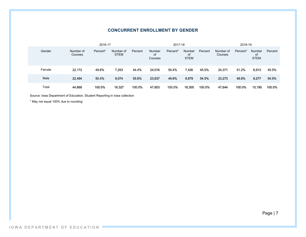#### **CONCURRENT ENROLLMENT BY GENDER**

|        |                      | 2016-17  | 2017-18                  |         |                         |          | 2018-19                            |         |                      |          |                                    |         |
|--------|----------------------|----------|--------------------------|---------|-------------------------|----------|------------------------------------|---------|----------------------|----------|------------------------------------|---------|
| Gender | Number of<br>Courses | Percent* | Number of<br><b>STEM</b> | Percent | Number<br>οf<br>Courses | Percent* | <b>Number</b><br>0f<br><b>STEM</b> | Percent | Number of<br>Courses | Percent* | <b>Number</b><br>of<br><b>STEM</b> | Percent |
| Female | 22,172               | 49.6%    | 7,253                    | 44.4%   | 24,016                  | 50.4%    | 7,426                              | 45.5%   | 24,371               | 51.2%    | 6,913                              | 45.5%   |
| Male   | 22,494               | 50.4%    | 9,074                    | 55.6%   | 23,637                  | 49.6%    | 8,879                              | 54.5%   | 23,273               | 48.8%    | 8,277                              | 54.5%   |
| Total  | 44,666               | 100.0%   | 16,327                   | 100.0%  | 47,653                  | 100.0%   | 16,305                             | 100.0%  | 47,644               | 100.0%   | 15.190                             | 100.0%  |

Source: Iowa Department of Education, Student Reporting in Iowa collection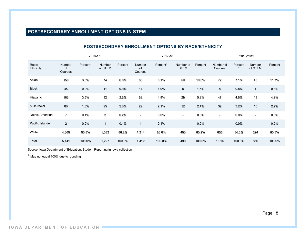# **POSTSECONDARY ENROLLMENT OPTIONS IN STEM**

|                    |                         | 2016-17  |                         |         |                          | 2017-18  |                          |         |                          | 2018-2019          |                          |         |
|--------------------|-------------------------|----------|-------------------------|---------|--------------------------|----------|--------------------------|---------|--------------------------|--------------------|--------------------------|---------|
| Race/<br>Ethnicity | Number<br>of<br>Courses | Percent* | Number<br>of STEM       | Percent | Number<br>οf<br>Courses  | Percent* | Number of<br><b>STEM</b> | Percent | Number of<br>Courses     | Percent<br>$\star$ | <b>Number</b><br>of STEM | Percent |
| Asian              | 156                     | 3.0%     | 74                      | 6.0%    | 86                       | 6.1%     | 50                       | 10.0%   | 72                       | 7.1%               | 43                       | 11.7%   |
| <b>Black</b>       | 45                      | 0.9%     | 11                      | 0.9%    | 14                       | 1.0%     | 8                        | 1.6%    | 8                        | 0.8%               | 1                        | 0.3%    |
| Hispanic           | 182                     | 3.5%     | 32                      | 2.6%    | 68                       | 4.8%     | 29                       | 5.8%    | 47                       | 4.6%               | 18                       | 4.9%    |
| Multi-racial       | 80                      | 1.6%     | 25                      | 2.0%    | 29                       | 2.1%     | 12                       | 2.4%    | 32                       | 3.2%               | 10                       | 2.7%    |
| Native American    | $\overline{7}$          | 0.1%     | $\overline{\mathbf{2}}$ | 0.2%    | $\overline{\phantom{a}}$ | 0.0%     | $\overline{\phantom{a}}$ | 0.0%    | $\overline{\phantom{0}}$ | 0.0%               | $\overline{\phantom{a}}$ | 0.0%    |
| Pacific Islander   | $\overline{2}$          | 0.0%     | $\mathbf{1}$            | 0.1%    | $\overline{1}$           | 0.1%     | $\overline{\phantom{a}}$ | 0.0%    | $\overline{\phantom{a}}$ | 0.0%               | $\overline{\phantom{a}}$ | 0.0%    |
| White              | 4,669                   | 90.8%    | 1,082                   | 88.2%   | 1,214                    | 86.0%    | 400                      | 80.2%   | 855                      | 84.3%              | 294                      | 80.3%   |
| Total              | 5,141                   | 100.0%   | 1,227                   | 100.0%  | 1,412                    | 100.0%   | 499                      | 100.0%  | 1,014                    | 100.0%             | 366                      | 100.0%  |

#### **POSTSECONDARY ENROLLMENT OPTIONS BY RACE/ETHNICITY**

Source: Iowa Department of Education, Student Reporting in Iowa collection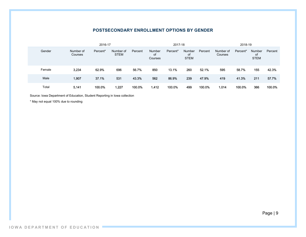#### **POSTSECONDARY ENROLLMENT OPTIONS BY GENDER**

|        |                      | 2016-17  |                          |         | 2017-18                 |          |                                    |         | 2018-19              |          |                                    |         |
|--------|----------------------|----------|--------------------------|---------|-------------------------|----------|------------------------------------|---------|----------------------|----------|------------------------------------|---------|
| Gender | Number of<br>Courses | Percent* | Number of<br><b>STEM</b> | Percent | Number<br>οf<br>Courses | Percent* | <b>Number</b><br>0f<br><b>STEM</b> | Percent | Number of<br>Courses | Percent* | <b>Number</b><br>of<br><b>STEM</b> | Percent |
| Female | 3,234                | 62.9%    | 696                      | 56.7%   | 850                     | 13.1%    | 260                                | 52.1%   | 595                  | 58.7%    | 155                                | 42.3%   |
| Male   | 1,907                | 37.1%    | 531                      | 43.3%   | 562                     | 86.9%    | 239                                | 47.9%   | 419                  | 41.3%    | 211                                | 57.7%   |
| Total  | 5,141                | 100.0%   | 1,227                    | 100.0%  | 1,412                   | 100.0%   | 499                                | 100.0%  | 1,014                | 100.0%   | 366                                | 100.0%  |

Source: Iowa Department of Education, Student Reporting in Iowa collection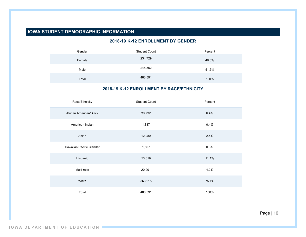# **IOWA STUDENT DEMOGRAPHIC INFORMATION**

#### **2018-19 K-12 ENROLLMENT BY GENDER**

| Gender | <b>Student Count</b> | Percent |
|--------|----------------------|---------|
| Female | 234,729              | 48.5%   |
| Male   | 248,862              | 51.5%   |
| Total  | 483,591              | 100%    |

#### **2018-19 K-12 ENROLLMENT BY RACE/ETHNICITY**

| Race/Ethnicity            | <b>Student Count</b> | Percent |
|---------------------------|----------------------|---------|
| African American/Black    | 30,732               | 6.4%    |
| American Indian           | 1,837                | 0.4%    |
| Asian                     | 12,280               | 2.5%    |
| Hawaiian/Pacific Islander | 1,507                | 0.3%    |
| Hispanic                  | 53,819               | 11.1%   |
| Multi-race                | 20,201               | 4.2%    |
| White                     | 363,215              | 75.1%   |
| Total                     | 483,591              | 100%    |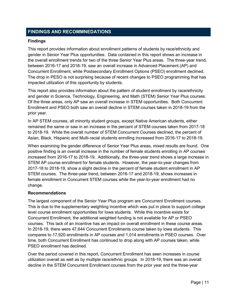# **FINDINGS AND RECOMMNEDATIONS**

#### **Findings**

This report provides information about enrollment patterns of students by race/ethnicity and gender in Senior Year Plus opportunities. Data contained in this report shows an increase in the overall enrollment trends for two of the three Senior Year Plus areas. The three-year trend, between 2016-17 and 2018-19, saw an overall increase in Advanced Placement (AP) and Concurrent Enrollment, while Postsecondary Enrollment Options (PSEO) enrollment declined. The drop in PESO is not surprising because of recent changes to PSEO programming that has impacted utilization of this opportunity by students.

This report also provides information about the pattern of student enrollment by race/ethnicity and gender in Science, Technology, Engineering, and Math (STEM) Senior Year Plus courses. Of the three areas, only AP saw an overall increase in STEM opportunities. Both Concurrent Enrollment and PSEO both saw an overall decline in STEM courses taken in 2018-19 from the prior year.

In AP STEM courses, all minority student groups, except Native American students, either remained the same or saw in an increase in the percent of STEM courses taken from 2017-18 to 2018-19. While the overall number of STEM Concurrent Courses declined, the percent of Asian, Black, Hispanic and Multi-racial students enrolling increased from 2016-17 to 2018-19.

When examining the gender difference of Senior Year Plus areas, mixed results are found. One positive finding is an overall increase in the number of female students enrolling in AP courses increased from 2016-17 to 2018-19. Additionally, the three-year trend shows a large increase in STEM AP course enrollment for female students. However, the year-to-year changes from 2017-18 to 2018-19, show a slight decline in the percent of female student enrollment in AP STEM courses. The three-year trend, between 2016-17 and 2018-19, shows increases in female enrollment in Concurrent STEM courses while the year-to-year enrollment had no change.

#### **Recommendations**

The largest component of the Senior Year Plus program are Concurrent Enrollment courses. This is due to the supplementary weighting incentive which was put in place to support college level course enrollment opportunities for Iowa students. While this incentive exists for Concurrent Enrollment, the additional weighted funding is not available for AP or PSEO courses. This lack of an incentive has an impact on overall enrollment in these course areas. In 2018-19, there were 47,644 Concurrent Enrollments course taken by Iowa students. This compares to 17,920 enrollments in AP courses and 1,014 enrollments in PSEO courses. Over time, both Concurrent Enrollment has continued to drop along with AP courses taken, while PSEO enrollment has declined.

Over the period covered in this report, Concurrent Enrollment has seen increases in course utilization overall as well as by multiple race/ethnic groups. In 2018-19, there was an overall decline in the STEM Concurrent Enrollment courses from the prior year and the three-year